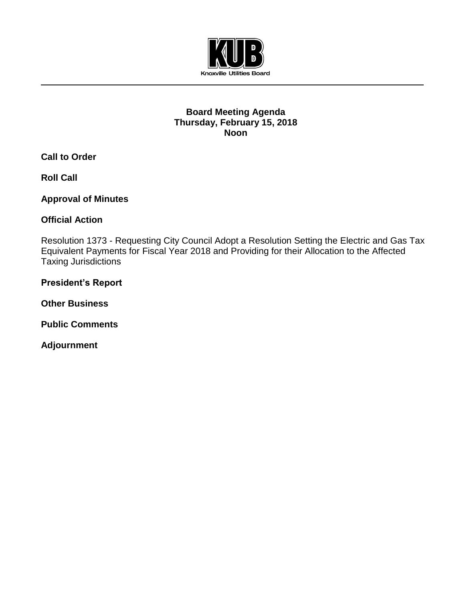

## **Board Meeting Agenda Thursday, February 15, 2018 Noon**

**Call to Order**

**Roll Call**

**Approval of Minutes**

**Official Action** 

Resolution 1373 - Requesting City Council Adopt a Resolution Setting the Electric and Gas Tax Equivalent Payments for Fiscal Year 2018 and Providing for their Allocation to the Affected Taxing Jurisdictions

**President's Report**

**Other Business**

**Public Comments**

**Adjournment**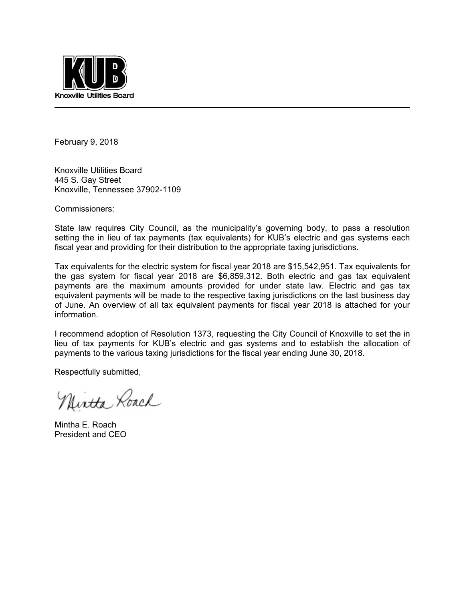

February 9, 2018

Knoxville Utilities Board 445 S. Gay Street Knoxville, Tennessee 37902-1109

Commissioners:

State law requires City Council, as the municipality's governing body, to pass a resolution setting the in lieu of tax payments (tax equivalents) for KUB's electric and gas systems each fiscal year and providing for their distribution to the appropriate taxing jurisdictions.

Tax equivalents for the electric system for fiscal year 2018 are \$15,542,951. Tax equivalents for the gas system for fiscal year 2018 are \$6,859,312. Both electric and gas tax equivalent payments are the maximum amounts provided for under state law. Electric and gas tax equivalent payments will be made to the respective taxing jurisdictions on the last business day of June. An overview of all tax equivalent payments for fiscal year 2018 is attached for your information.

I recommend adoption of Resolution 1373, requesting the City Council of Knoxville to set the in lieu of tax payments for KUB's electric and gas systems and to establish the allocation of payments to the various taxing jurisdictions for the fiscal year ending June 30, 2018.

Respectfully submitted,

Nintha Roach

Mintha E. Roach President and CEO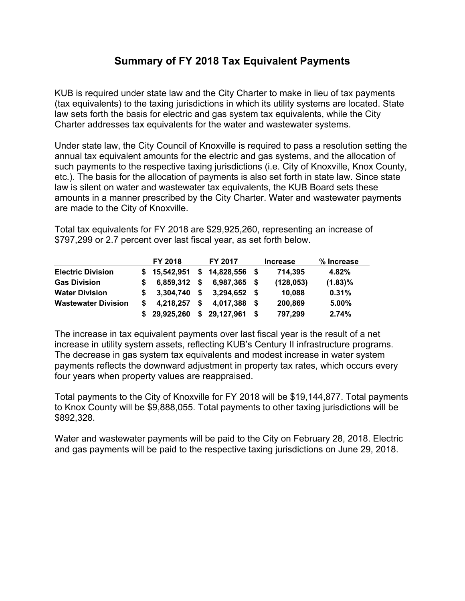## **Summary of FY 2018 Tax Equivalent Payments**

KUB is required under state law and the City Charter to make in lieu of tax payments (tax equivalents) to the taxing jurisdictions in which its utility systems are located. State law sets forth the basis for electric and gas system tax equivalents, while the City Charter addresses tax equivalents for the water and wastewater systems.

Under state law, the City Council of Knoxville is required to pass a resolution setting the annual tax equivalent amounts for the electric and gas systems, and the allocation of such payments to the respective taxing jurisdictions (i.e. City of Knoxville, Knox County, etc.). The basis for the allocation of payments is also set forth in state law. Since state law is silent on water and wastewater tax equivalents, the KUB Board sets these amounts in a manner prescribed by the City Charter. Water and wastewater payments are made to the City of Knoxville.

Total tax equivalents for FY 2018 are \$29,925,260, representing an increase of \$797,299 or 2.7 percent over last fiscal year, as set forth below.

|                            |    | FY 2018      |      | FY 2017        |    | <b>Increase</b> | % Increase |
|----------------------------|----|--------------|------|----------------|----|-----------------|------------|
| <b>Electric Division</b>   |    | \$15,542,951 | \$   | 14,828,556 \$  |    | 714,395         | 4.82%      |
| <b>Gas Division</b>        |    | 6,859,312 \$ |      | $6.987.365$ \$ |    | (128, 053)      | $(1.83)\%$ |
| <b>Water Division</b>      |    | 3,304,740    | - \$ | $3,294,652$ \$ |    | 10,088          | 0.31%      |
| <b>Wastewater Division</b> |    | 4,218,257    | S    | 4.017.388      |    | 200,869         | 5.00%      |
|                            | S. | 29,925,260   | \$   | 29,127,961     | -S | 797,299         | 2.74%      |

The increase in tax equivalent payments over last fiscal year is the result of a net increase in utility system assets, reflecting KUB's Century II infrastructure programs. The decrease in gas system tax equivalents and modest increase in water system payments reflects the downward adjustment in property tax rates, which occurs every four years when property values are reappraised.

Total payments to the City of Knoxville for FY 2018 will be \$19,144,877. Total payments to Knox County will be \$9,888,055. Total payments to other taxing jurisdictions will be \$892,328.

Water and wastewater payments will be paid to the City on February 28, 2018. Electric and gas payments will be paid to the respective taxing jurisdictions on June 29, 2018.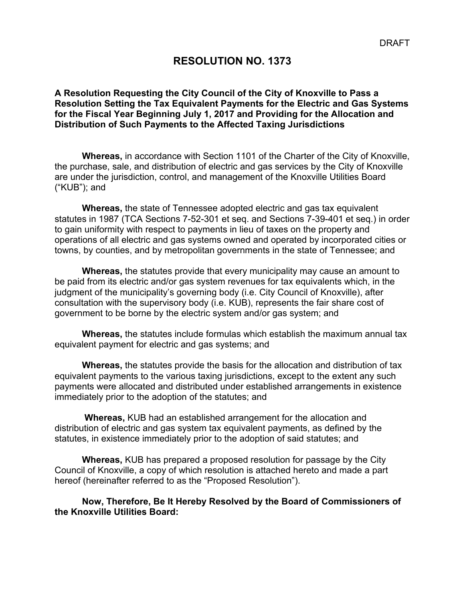## **RESOLUTION NO. 1373**

#### **A Resolution Requesting the City Council of the City of Knoxville to Pass a Resolution Setting the Tax Equivalent Payments for the Electric and Gas Systems for the Fiscal Year Beginning July 1, 2017 and Providing for the Allocation and Distribution of Such Payments to the Affected Taxing Jurisdictions**

**Whereas,** in accordance with Section 1101 of the Charter of the City of Knoxville, the purchase, sale, and distribution of electric and gas services by the City of Knoxville are under the jurisdiction, control, and management of the Knoxville Utilities Board ("KUB"); and

**Whereas,** the state of Tennessee adopted electric and gas tax equivalent statutes in 1987 (TCA Sections 7-52-301 et seq. and Sections 7-39-401 et seq.) in order to gain uniformity with respect to payments in lieu of taxes on the property and operations of all electric and gas systems owned and operated by incorporated cities or towns, by counties, and by metropolitan governments in the state of Tennessee; and

**Whereas,** the statutes provide that every municipality may cause an amount to be paid from its electric and/or gas system revenues for tax equivalents which, in the judgment of the municipality's governing body (i.e. City Council of Knoxville), after consultation with the supervisory body (i.e. KUB), represents the fair share cost of government to be borne by the electric system and/or gas system; and

**Whereas,** the statutes include formulas which establish the maximum annual tax equivalent payment for electric and gas systems; and

**Whereas,** the statutes provide the basis for the allocation and distribution of tax equivalent payments to the various taxing jurisdictions, except to the extent any such payments were allocated and distributed under established arrangements in existence immediately prior to the adoption of the statutes; and

 **Whereas,** KUB had an established arrangement for the allocation and distribution of electric and gas system tax equivalent payments, as defined by the statutes, in existence immediately prior to the adoption of said statutes; and

**Whereas,** KUB has prepared a proposed resolution for passage by the City Council of Knoxville, a copy of which resolution is attached hereto and made a part hereof (hereinafter referred to as the "Proposed Resolution").

**Now, Therefore, Be It Hereby Resolved by the Board of Commissioners of the Knoxville Utilities Board:**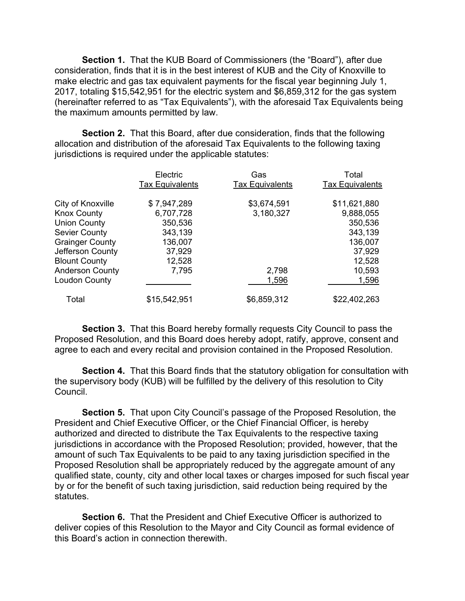**Section 1.** That the KUB Board of Commissioners (the "Board"), after due consideration, finds that it is in the best interest of KUB and the City of Knoxville to make electric and gas tax equivalent payments for the fiscal year beginning July 1, 2017, totaling \$15,542,951 for the electric system and \$6,859,312 for the gas system (hereinafter referred to as "Tax Equivalents"), with the aforesaid Tax Equivalents being the maximum amounts permitted by law.

**Section 2.** That this Board, after due consideration, finds that the following allocation and distribution of the aforesaid Tax Equivalents to the following taxing jurisdictions is required under the applicable statutes:

|                        | Electric<br><b>Tax Equivalents</b> | Gas<br><b>Tax Equivalents</b> | Total<br><b>Tax Equivalents</b> |
|------------------------|------------------------------------|-------------------------------|---------------------------------|
| City of Knoxville      | \$7,947,289                        | \$3,674,591                   | \$11,621,880                    |
| <b>Knox County</b>     | 6,707,728                          | 3,180,327                     | 9,888,055                       |
| <b>Union County</b>    | 350,536                            |                               | 350,536                         |
| <b>Sevier County</b>   | 343,139                            |                               | 343,139                         |
| <b>Grainger County</b> | 136,007                            |                               | 136,007                         |
| Jefferson County       | 37,929                             |                               | 37,929                          |
| <b>Blount County</b>   | 12,528                             |                               | 12,528                          |
| <b>Anderson County</b> | 7,795                              | 2,798                         | 10,593                          |
| <b>Loudon County</b>   |                                    | 1,596                         | 1,596                           |
| Total                  | \$15,542,951                       | \$6,859,312                   | \$22,402,263                    |

**Section 3.** That this Board hereby formally requests City Council to pass the Proposed Resolution, and this Board does hereby adopt, ratify, approve, consent and agree to each and every recital and provision contained in the Proposed Resolution.

**Section 4.** That this Board finds that the statutory obligation for consultation with the supervisory body (KUB) will be fulfilled by the delivery of this resolution to City Council.

 **Section 5.** That upon City Council's passage of the Proposed Resolution, the President and Chief Executive Officer, or the Chief Financial Officer, is hereby authorized and directed to distribute the Tax Equivalents to the respective taxing jurisdictions in accordance with the Proposed Resolution; provided, however, that the amount of such Tax Equivalents to be paid to any taxing jurisdiction specified in the Proposed Resolution shall be appropriately reduced by the aggregate amount of any qualified state, county, city and other local taxes or charges imposed for such fiscal year by or for the benefit of such taxing jurisdiction, said reduction being required by the statutes.

 **Section 6.** That the President and Chief Executive Officer is authorized to deliver copies of this Resolution to the Mayor and City Council as formal evidence of this Board's action in connection therewith.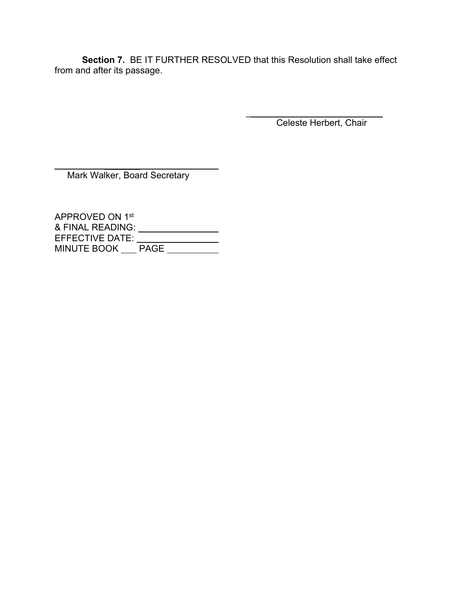**Section 7.** BE IT FURTHER RESOLVED that this Resolution shall take effect from and after its passage.

Celeste Herbert, Chair

 $\frac{1}{2}$  , and the set of the set of the set of the set of the set of the set of the set of the set of the set of the set of the set of the set of the set of the set of the set of the set of the set of the set of the set

Mark Walker, Board Secretary

 $\mathcal{L}=\mathcal{L}^{\mathcal{L}}$  , where  $\mathcal{L}^{\mathcal{L}}$  , we have the set of the set of the set of the set of the set of the set of the set of the set of the set of the set of the set of the set of the set of the set of the set of

APPROVED ON 1st & FINAL READING: EFFECTIVE DATE: MINUTE BOOK \_\_\_\_ PAGE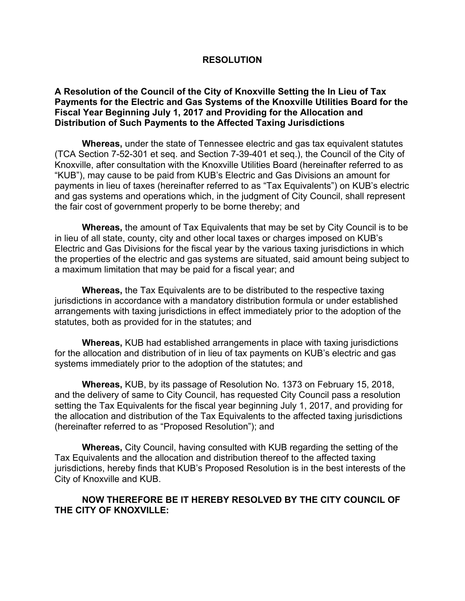#### **RESOLUTION**

#### **A Resolution of the Council of the City of Knoxville Setting the In Lieu of Tax Payments for the Electric and Gas Systems of the Knoxville Utilities Board for the Fiscal Year Beginning July 1, 2017 and Providing for the Allocation and Distribution of Such Payments to the Affected Taxing Jurisdictions**

**Whereas,** under the state of Tennessee electric and gas tax equivalent statutes (TCA Section 7-52-301 et seq. and Section 7-39-401 et seq.), the Council of the City of Knoxville, after consultation with the Knoxville Utilities Board (hereinafter referred to as "KUB"), may cause to be paid from KUB's Electric and Gas Divisions an amount for payments in lieu of taxes (hereinafter referred to as "Tax Equivalents") on KUB's electric and gas systems and operations which, in the judgment of City Council, shall represent the fair cost of government properly to be borne thereby; and

**Whereas,** the amount of Tax Equivalents that may be set by City Council is to be in lieu of all state, county, city and other local taxes or charges imposed on KUB's Electric and Gas Divisions for the fiscal year by the various taxing jurisdictions in which the properties of the electric and gas systems are situated, said amount being subject to a maximum limitation that may be paid for a fiscal year; and

**Whereas,** the Tax Equivalents are to be distributed to the respective taxing jurisdictions in accordance with a mandatory distribution formula or under established arrangements with taxing jurisdictions in effect immediately prior to the adoption of the statutes, both as provided for in the statutes; and

**Whereas,** KUB had established arrangements in place with taxing jurisdictions for the allocation and distribution of in lieu of tax payments on KUB's electric and gas systems immediately prior to the adoption of the statutes; and

**Whereas,** KUB, by its passage of Resolution No. 1373 on February 15, 2018, and the delivery of same to City Council, has requested City Council pass a resolution setting the Tax Equivalents for the fiscal year beginning July 1, 2017, and providing for the allocation and distribution of the Tax Equivalents to the affected taxing jurisdictions (hereinafter referred to as "Proposed Resolution"); and

**Whereas,** City Council, having consulted with KUB regarding the setting of the Tax Equivalents and the allocation and distribution thereof to the affected taxing jurisdictions, hereby finds that KUB's Proposed Resolution is in the best interests of the City of Knoxville and KUB.

#### **NOW THEREFORE BE IT HEREBY RESOLVED BY THE CITY COUNCIL OF THE CITY OF KNOXVILLE:**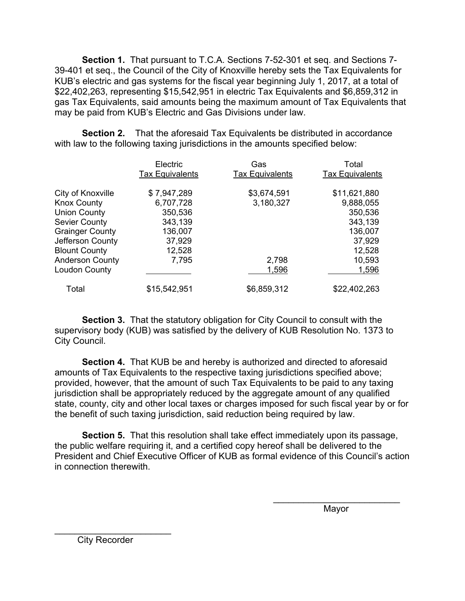**Section 1.** That pursuant to T.C.A. Sections 7-52-301 et seq. and Sections 7- 39-401 et seq., the Council of the City of Knoxville hereby sets the Tax Equivalents for KUB's electric and gas systems for the fiscal year beginning July 1, 2017, at a total of \$22,402,263, representing \$15,542,951 in electric Tax Equivalents and \$6,859,312 in gas Tax Equivalents, said amounts being the maximum amount of Tax Equivalents that may be paid from KUB's Electric and Gas Divisions under law.

**Section 2.** That the aforesaid Tax Equivalents be distributed in accordance with law to the following taxing jurisdictions in the amounts specified below:

|                        | Electric<br><b>Tax Equivalents</b> | Gas<br><b>Tax Equivalents</b> | Total<br><b>Tax Equivalents</b> |
|------------------------|------------------------------------|-------------------------------|---------------------------------|
| City of Knoxville      | \$7,947,289                        | \$3,674,591                   | \$11,621,880                    |
| <b>Knox County</b>     | 6,707,728                          | 3,180,327                     | 9,888,055                       |
| <b>Union County</b>    | 350,536                            |                               | 350,536                         |
| <b>Sevier County</b>   | 343,139                            |                               | 343,139                         |
| <b>Grainger County</b> | 136,007                            |                               | 136,007                         |
| Jefferson County       | 37,929                             |                               | 37,929                          |
| <b>Blount County</b>   | 12,528                             |                               | 12,528                          |
| <b>Anderson County</b> | 7,795                              | 2,798                         | 10,593                          |
| <b>Loudon County</b>   |                                    | 1,596                         | 1,596                           |
| Total                  | \$15,542,951                       | \$6,859,312                   | \$22,402,263                    |

**Section 3.** That the statutory obligation for City Council to consult with the supervisory body (KUB) was satisfied by the delivery of KUB Resolution No. 1373 to City Council.

 **Section 4.** That KUB be and hereby is authorized and directed to aforesaid amounts of Tax Equivalents to the respective taxing jurisdictions specified above; provided, however, that the amount of such Tax Equivalents to be paid to any taxing jurisdiction shall be appropriately reduced by the aggregate amount of any qualified state, county, city and other local taxes or charges imposed for such fiscal year by or for the benefit of such taxing jurisdiction, said reduction being required by law.

**Section 5.** That this resolution shall take effect immediately upon its passage, the public welfare requiring it, and a certified copy hereof shall be delivered to the President and Chief Executive Officer of KUB as formal evidence of this Council's action in connection therewith.

 $\overline{\phantom{a}}$  , which is a set of the contract of the contract of the contract of the contract of the contract of the contract of the contract of the contract of the contract of the contract of the contract of the contract

where the contract of the contract of the Mayor Mayor (1990) and the contract of the Mayor (1990) and the contract of the contract of the contract of the contract of the contract of the contract of the contract of the cont

City Recorder

 $\mathcal{L}_\text{max}$  , where  $\mathcal{L}_\text{max}$  and  $\mathcal{L}_\text{max}$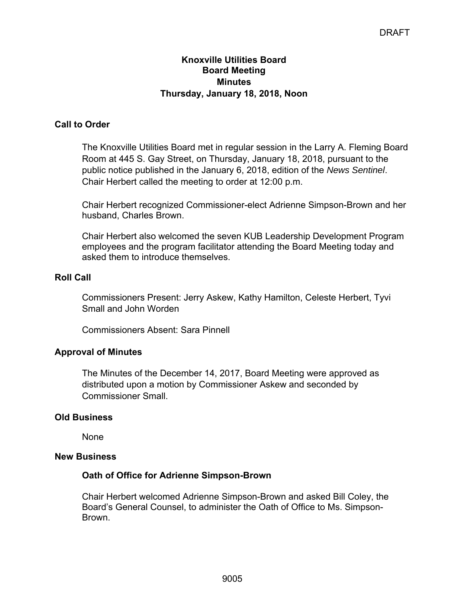### **Knoxville Utilities Board Board Meeting Minutes Thursday, January 18, 2018, Noon**

## **Call to Order**

The Knoxville Utilities Board met in regular session in the Larry A. Fleming Board Room at 445 S. Gay Street, on Thursday, January 18, 2018, pursuant to the public notice published in the January 6, 2018, edition of the *News Sentinel*. Chair Herbert called the meeting to order at 12:00 p.m.

Chair Herbert recognized Commissioner-elect Adrienne Simpson-Brown and her husband, Charles Brown.

Chair Herbert also welcomed the seven KUB Leadership Development Program employees and the program facilitator attending the Board Meeting today and asked them to introduce themselves.

### **Roll Call**

Commissioners Present: Jerry Askew, Kathy Hamilton, Celeste Herbert, Tyvi Small and John Worden

Commissioners Absent: Sara Pinnell

### **Approval of Minutes**

The Minutes of the December 14, 2017, Board Meeting were approved as distributed upon a motion by Commissioner Askew and seconded by Commissioner Small.

### **Old Business**

None

#### **New Business**

### **Oath of Office for Adrienne Simpson-Brown**

Chair Herbert welcomed Adrienne Simpson-Brown and asked Bill Coley, the Board's General Counsel, to administer the Oath of Office to Ms. Simpson-Brown.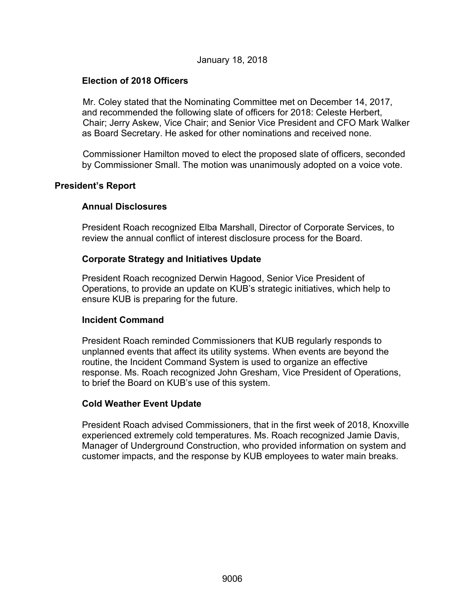#### January 18, 2018

## **Election of 2018 Officers**

Mr. Coley stated that the Nominating Committee met on December 14, 2017, and recommended the following slate of officers for 2018: Celeste Herbert, Chair; Jerry Askew, Vice Chair; and Senior Vice President and CFO Mark Walker as Board Secretary. He asked for other nominations and received none.

Commissioner Hamilton moved to elect the proposed slate of officers, seconded by Commissioner Small. The motion was unanimously adopted on a voice vote.

#### **President's Report**

### **Annual Disclosures**

President Roach recognized Elba Marshall, Director of Corporate Services, to review the annual conflict of interest disclosure process for the Board.

#### **Corporate Strategy and Initiatives Update**

President Roach recognized Derwin Hagood, Senior Vice President of Operations, to provide an update on KUB's strategic initiatives, which help to ensure KUB is preparing for the future.

#### **Incident Command**

President Roach reminded Commissioners that KUB regularly responds to unplanned events that affect its utility systems. When events are beyond the routine, the Incident Command System is used to organize an effective response. Ms. Roach recognized John Gresham, Vice President of Operations, to brief the Board on KUB's use of this system.

#### **Cold Weather Event Update**

President Roach advised Commissioners, that in the first week of 2018, Knoxville experienced extremely cold temperatures. Ms. Roach recognized Jamie Davis, Manager of Underground Construction, who provided information on system and customer impacts, and the response by KUB employees to water main breaks.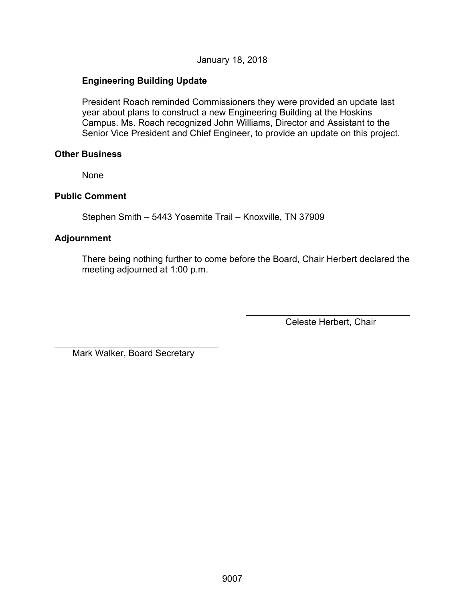January 18, 2018

## **Engineering Building Update**

President Roach reminded Commissioners they were provided an update last year about plans to construct a new Engineering Building at the Hoskins Campus. Ms. Roach recognized John Williams, Director and Assistant to the Senior Vice President and Chief Engineer, to provide an update on this project.

#### **Other Business**

None

### **Public Comment**

Stephen Smith – 5443 Yosemite Trail – Knoxville, TN 37909

## **Adjournment**

 $\overline{a}$ 

There being nothing further to come before the Board, Chair Herbert declared the meeting adjourned at 1:00 p.m.

Celeste Herbert, Chair

Mark Walker, Board Secretary